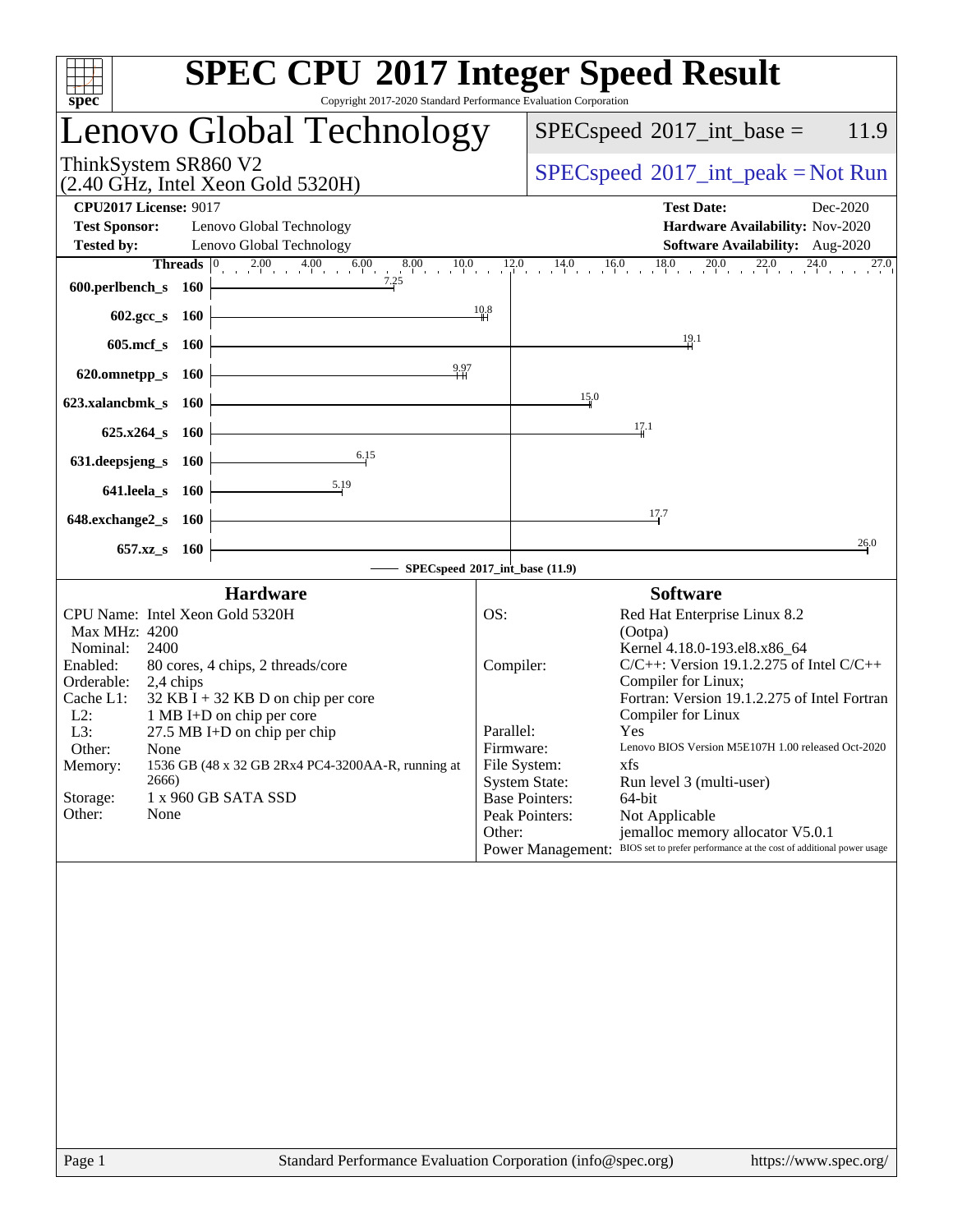| <b>Lenovo Global Technology</b><br>$SPEC speed^{\circ}2017\_int\_base =$<br>ThinkSystem SR860 V2<br>$SPEC speed^{\circ}2017\_int\_peak = Not Run$<br>(2.40 GHz, Intel Xeon Gold 5320H)<br><b>CPU2017 License: 9017</b><br><b>Test Date:</b><br><b>Test Sponsor:</b><br>Lenovo Global Technology<br>Hardware Availability: Nov-2020<br><b>Tested by:</b><br>Lenovo Global Technology<br>Software Availability: Aug-2020<br><b>Threads</b> $\begin{bmatrix} 0 & 2.00 & 4.00 & 6.00 & 8.00 & 10.0 & 12.0 & 14.0 & 16.0 & 18.0 & 20.0 & 22.0 & 24.0 & 27.0 \end{bmatrix}$<br>7.25<br>600.perlbench_s 160<br>10.8<br>$602 \text{.} \text{gcc}\, \text{s}$ 160<br>$\frac{19.1}{4}$<br>605.mcf_s 160<br>$\frac{9.97}{4}$<br>620.omnetpp_s 160<br>15.0<br>623.xalancbmk_s 160<br>17.1<br>625.x264_s 160<br>6.15<br>631.deepsjeng_s 160<br>641.leela_s 160<br>17.7<br>648.exchange2_s 160<br>657.xz <sub>_8</sub> 160<br>SPECspeed®2017_int_base (11.9)<br><b>Hardware</b><br><b>Software</b><br>CPU Name: Intel Xeon Gold 5320H<br>OS:<br>Red Hat Enterprise Linux 8.2<br>Max MHz: 4200<br>(Ootpa)<br>2400<br>Kernel 4.18.0-193.el8.x86_64<br>Nominal:<br>$C/C++$ : Version 19.1.2.275 of Intel $C/C++$<br>Enabled:<br>80 cores, 4 chips, 2 threads/core<br>Compiler:<br>Orderable:<br>Compiler for Linux;<br>2,4 chips<br>Fortran: Version 19.1.2.275 of Intel Fortran<br>$32$ KB I + 32 KB D on chip per core<br>Cache L1:<br>Compiler for Linux<br>$L2$ :<br>1 MB I+D on chip per core<br>Parallel:<br>L3:<br>27.5 MB I+D on chip per chip<br>Yes<br>Lenovo BIOS Version M5E107H 1.00 released Oct-2020<br>Other:<br>Firmware: | spec <sup>®</sup> | <b>SPEC CPU®2017 Integer Speed Result</b><br>Copyright 2017-2020 Standard Performance Evaluation Corporation |          |
|---------------------------------------------------------------------------------------------------------------------------------------------------------------------------------------------------------------------------------------------------------------------------------------------------------------------------------------------------------------------------------------------------------------------------------------------------------------------------------------------------------------------------------------------------------------------------------------------------------------------------------------------------------------------------------------------------------------------------------------------------------------------------------------------------------------------------------------------------------------------------------------------------------------------------------------------------------------------------------------------------------------------------------------------------------------------------------------------------------------------------------------------------------------------------------------------------------------------------------------------------------------------------------------------------------------------------------------------------------------------------------------------------------------------------------------------------------------------------------------------------------------------------------------------------------------------------------------------------------------------------|-------------------|--------------------------------------------------------------------------------------------------------------|----------|
|                                                                                                                                                                                                                                                                                                                                                                                                                                                                                                                                                                                                                                                                                                                                                                                                                                                                                                                                                                                                                                                                                                                                                                                                                                                                                                                                                                                                                                                                                                                                                                                                                           |                   |                                                                                                              | 11.9     |
|                                                                                                                                                                                                                                                                                                                                                                                                                                                                                                                                                                                                                                                                                                                                                                                                                                                                                                                                                                                                                                                                                                                                                                                                                                                                                                                                                                                                                                                                                                                                                                                                                           |                   |                                                                                                              |          |
|                                                                                                                                                                                                                                                                                                                                                                                                                                                                                                                                                                                                                                                                                                                                                                                                                                                                                                                                                                                                                                                                                                                                                                                                                                                                                                                                                                                                                                                                                                                                                                                                                           |                   |                                                                                                              | Dec-2020 |
|                                                                                                                                                                                                                                                                                                                                                                                                                                                                                                                                                                                                                                                                                                                                                                                                                                                                                                                                                                                                                                                                                                                                                                                                                                                                                                                                                                                                                                                                                                                                                                                                                           |                   |                                                                                                              | 27.0     |
|                                                                                                                                                                                                                                                                                                                                                                                                                                                                                                                                                                                                                                                                                                                                                                                                                                                                                                                                                                                                                                                                                                                                                                                                                                                                                                                                                                                                                                                                                                                                                                                                                           |                   |                                                                                                              |          |
|                                                                                                                                                                                                                                                                                                                                                                                                                                                                                                                                                                                                                                                                                                                                                                                                                                                                                                                                                                                                                                                                                                                                                                                                                                                                                                                                                                                                                                                                                                                                                                                                                           |                   |                                                                                                              |          |
|                                                                                                                                                                                                                                                                                                                                                                                                                                                                                                                                                                                                                                                                                                                                                                                                                                                                                                                                                                                                                                                                                                                                                                                                                                                                                                                                                                                                                                                                                                                                                                                                                           |                   |                                                                                                              |          |
|                                                                                                                                                                                                                                                                                                                                                                                                                                                                                                                                                                                                                                                                                                                                                                                                                                                                                                                                                                                                                                                                                                                                                                                                                                                                                                                                                                                                                                                                                                                                                                                                                           |                   |                                                                                                              |          |
|                                                                                                                                                                                                                                                                                                                                                                                                                                                                                                                                                                                                                                                                                                                                                                                                                                                                                                                                                                                                                                                                                                                                                                                                                                                                                                                                                                                                                                                                                                                                                                                                                           |                   |                                                                                                              | 26.0     |
|                                                                                                                                                                                                                                                                                                                                                                                                                                                                                                                                                                                                                                                                                                                                                                                                                                                                                                                                                                                                                                                                                                                                                                                                                                                                                                                                                                                                                                                                                                                                                                                                                           |                   |                                                                                                              |          |
| File System:<br>xfs<br>1536 GB (48 x 32 GB 2Rx4 PC4-3200AA-R, running at<br>Memory:<br>2666)<br><b>System State:</b><br>Run level 3 (multi-user)<br>1 x 960 GB SATA SSD<br>Storage:<br><b>Base Pointers:</b><br>64-bit<br>Other:<br>None<br>Peak Pointers:<br>Not Applicable<br>Other:<br>jemalloc memory allocator V5.0.1<br>Power Management: BIOS set to prefer performance at the cost of additional power usage                                                                                                                                                                                                                                                                                                                                                                                                                                                                                                                                                                                                                                                                                                                                                                                                                                                                                                                                                                                                                                                                                                                                                                                                      | None              |                                                                                                              |          |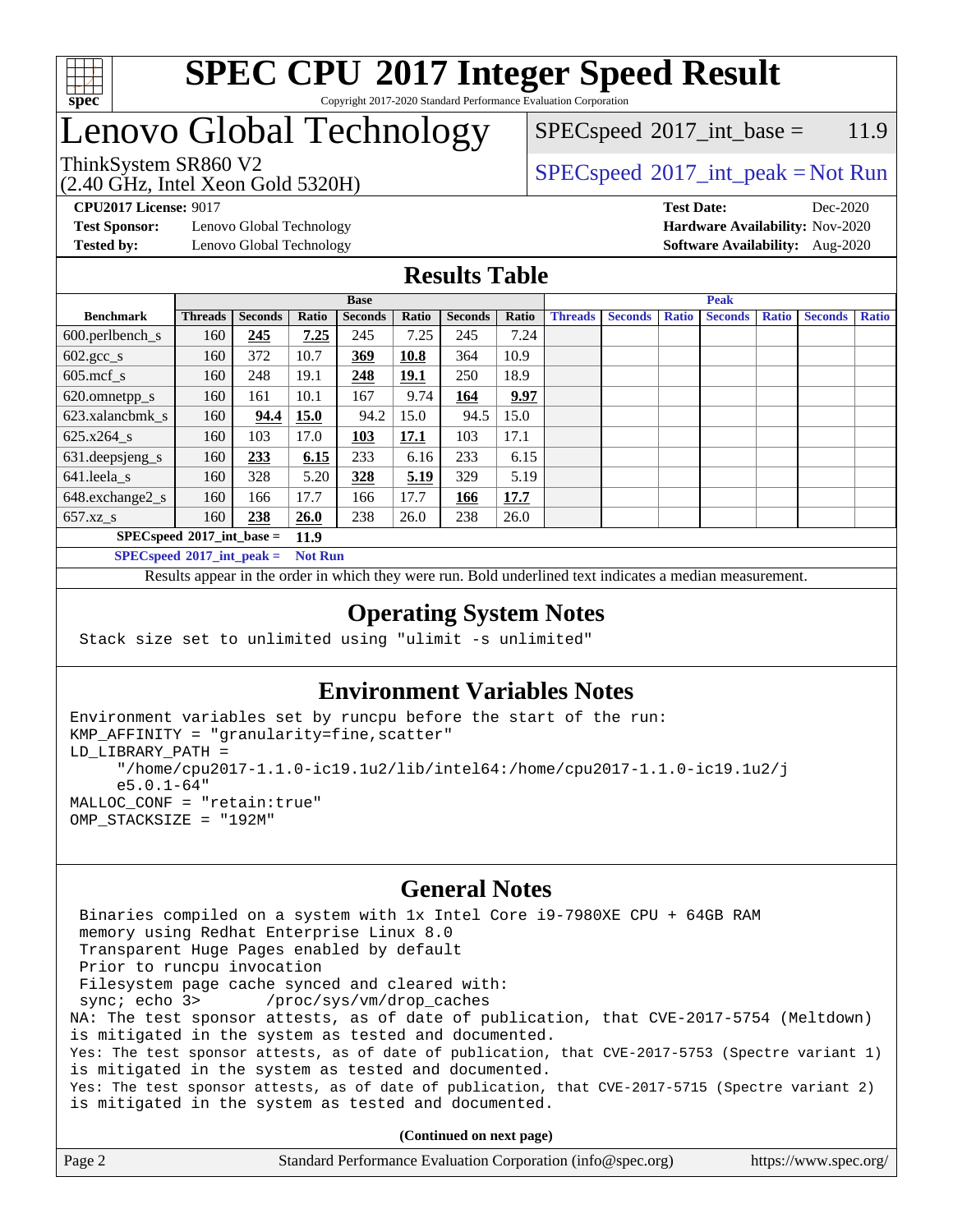

### **[SPEC CPU](http://www.spec.org/auto/cpu2017/Docs/result-fields.html#SPECCPU2017IntegerSpeedResult)[2017 Integer Speed Result](http://www.spec.org/auto/cpu2017/Docs/result-fields.html#SPECCPU2017IntegerSpeedResult)** Copyright 2017-2020 Standard Performance Evaluation Corporation

# Lenovo Global Technology

 $SPEC speed^{\circ}2017\_int\_base = 11.9$ 

(2.40 GHz, Intel Xeon Gold 5320H)

ThinkSystem SR860 V2  $SPEC speed^{\circ}2017\_int\_peak = Not Run$ 

**[Test Sponsor:](http://www.spec.org/auto/cpu2017/Docs/result-fields.html#TestSponsor)** Lenovo Global Technology **[Hardware Availability:](http://www.spec.org/auto/cpu2017/Docs/result-fields.html#HardwareAvailability)** Nov-2020 **[Tested by:](http://www.spec.org/auto/cpu2017/Docs/result-fields.html#Testedby)** Lenovo Global Technology **[Software Availability:](http://www.spec.org/auto/cpu2017/Docs/result-fields.html#SoftwareAvailability)** Aug-2020

**[CPU2017 License:](http://www.spec.org/auto/cpu2017/Docs/result-fields.html#CPU2017License)** 9017 **[Test Date:](http://www.spec.org/auto/cpu2017/Docs/result-fields.html#TestDate)** Dec-2020

### **[Results Table](http://www.spec.org/auto/cpu2017/Docs/result-fields.html#ResultsTable)**

|                               | <b>Base</b>    |                |       |                |             | <b>Peak</b>    |       |                |                |              |                |              |                |              |
|-------------------------------|----------------|----------------|-------|----------------|-------------|----------------|-------|----------------|----------------|--------------|----------------|--------------|----------------|--------------|
| <b>Benchmark</b>              | <b>Threads</b> | <b>Seconds</b> | Ratio | <b>Seconds</b> | Ratio       | <b>Seconds</b> | Ratio | <b>Threads</b> | <b>Seconds</b> | <b>Ratio</b> | <b>Seconds</b> | <b>Ratio</b> | <b>Seconds</b> | <b>Ratio</b> |
| $600.$ perlbench $\mathsf{S}$ | 160            | 245            | 7.25  | 245            | 7.25        | 245            | 7.24  |                |                |              |                |              |                |              |
| $602.\text{gcc}\_\text{s}$    | 160            | 372            | 10.7  | 369            | 10.8        | 364            | 10.9  |                |                |              |                |              |                |              |
| $605$ .mcf s                  | 160            | 248            | 19.1  | 248            | 19.1        | 250            | 18.9  |                |                |              |                |              |                |              |
| 620.omnetpp_s                 | 160            | 161            | 10.1  | 167            | 9.74        | 164            | 9.97  |                |                |              |                |              |                |              |
| 623.xalancbmk s               | 160            | 94.4           | 15.0  | 94.2           | 15.0        | 94.5           | 15.0  |                |                |              |                |              |                |              |
| 625.x264 s                    | 160            | 103            | 17.0  | 103            | <u>17.1</u> | 103            | 17.1  |                |                |              |                |              |                |              |
| 631.deepsjeng_s               | 160            | 233            | 6.15  | 233            | 6.16        | 233            | 6.15  |                |                |              |                |              |                |              |
| 641.leela s                   | 160            | 328            | 5.20  | 328            | 5.19        | 329            | 5.19  |                |                |              |                |              |                |              |
| 648.exchange2_s               | 160            | 166            | 17.7  | 166            | 17.7        | 166            | 17.7  |                |                |              |                |              |                |              |
| $657.xz$ <sub>_8</sub>        | 160            | 238            | 26.0  | 238            | 26.0        | 238            | 26.0  |                |                |              |                |              |                |              |
| $SPECspeed*2017$ int base =   |                |                | 11.9  |                |             |                |       |                |                |              |                |              |                |              |

**[SPECspeed](http://www.spec.org/auto/cpu2017/Docs/result-fields.html#SPECspeed2017intpeak)[2017\\_int\\_peak =](http://www.spec.org/auto/cpu2017/Docs/result-fields.html#SPECspeed2017intpeak) Not Run**

Results appear in the [order in which they were run.](http://www.spec.org/auto/cpu2017/Docs/result-fields.html#RunOrder) Bold underlined text [indicates a median measurement.](http://www.spec.org/auto/cpu2017/Docs/result-fields.html#Median)

### **[Operating System Notes](http://www.spec.org/auto/cpu2017/Docs/result-fields.html#OperatingSystemNotes)**

Stack size set to unlimited using "ulimit -s unlimited"

### **[Environment Variables Notes](http://www.spec.org/auto/cpu2017/Docs/result-fields.html#EnvironmentVariablesNotes)**

```
Environment variables set by runcpu before the start of the run:
KMP_AFFINITY = "granularity=fine,scatter"
LD_LIBRARY_PATH =
      "/home/cpu2017-1.1.0-ic19.1u2/lib/intel64:/home/cpu2017-1.1.0-ic19.1u2/j
      e5.0.1-64"
MALLOC_CONF = "retain:true"
OMP_STACKSIZE = "192M"
```
#### **[General Notes](http://www.spec.org/auto/cpu2017/Docs/result-fields.html#GeneralNotes)**

 Binaries compiled on a system with 1x Intel Core i9-7980XE CPU + 64GB RAM memory using Redhat Enterprise Linux 8.0 Transparent Huge Pages enabled by default Prior to runcpu invocation Filesystem page cache synced and cleared with: sync; echo 3> /proc/sys/vm/drop\_caches NA: The test sponsor attests, as of date of publication, that CVE-2017-5754 (Meltdown) is mitigated in the system as tested and documented. Yes: The test sponsor attests, as of date of publication, that CVE-2017-5753 (Spectre variant 1) is mitigated in the system as tested and documented. Yes: The test sponsor attests, as of date of publication, that CVE-2017-5715 (Spectre variant 2) is mitigated in the system as tested and documented.

**(Continued on next page)**

| Page 2<br>Standard Performance Evaluation Corporation (info@spec.org)<br>https://www.spec.org/ |  |
|------------------------------------------------------------------------------------------------|--|
|------------------------------------------------------------------------------------------------|--|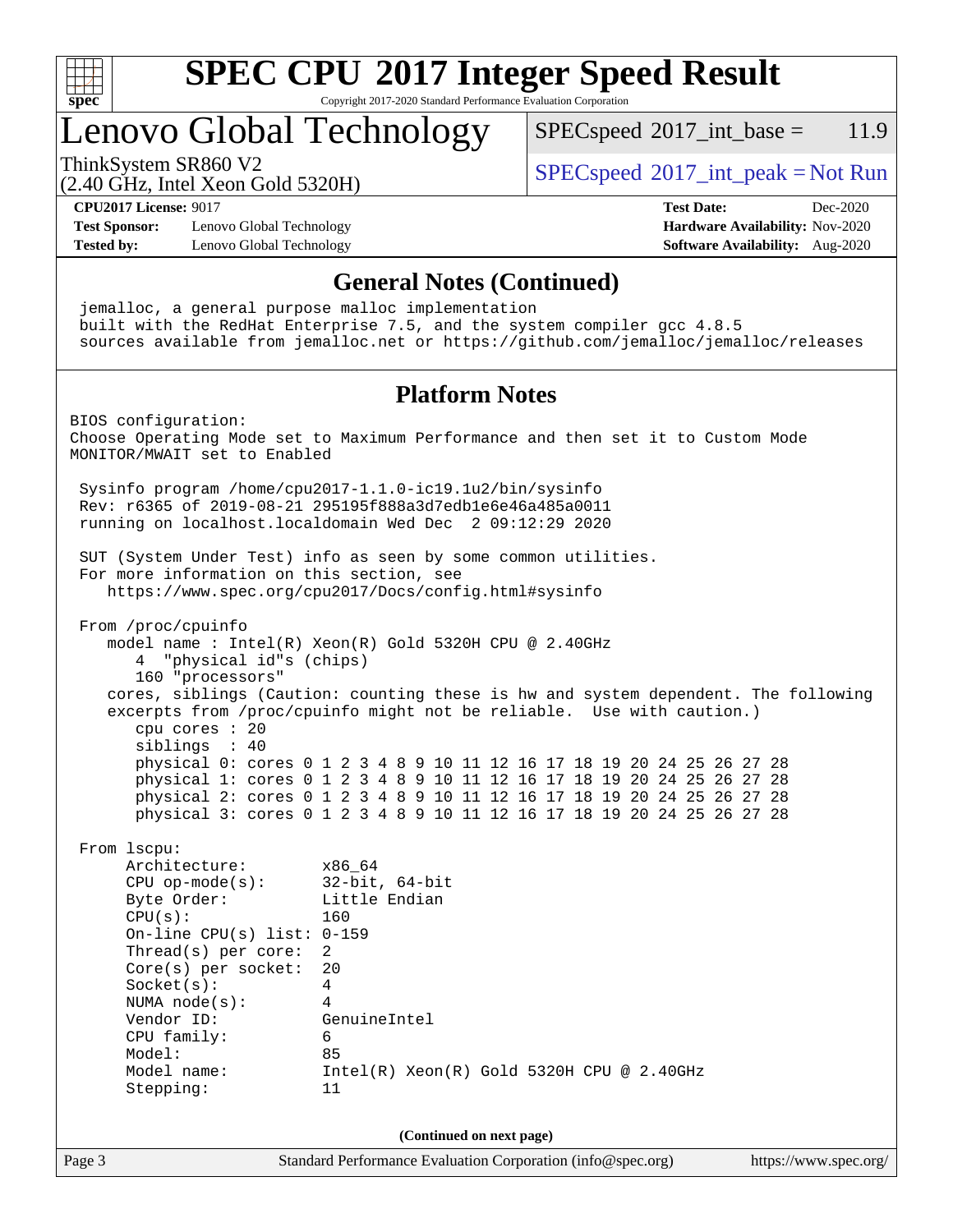

Copyright 2017-2020 Standard Performance Evaluation Corporation

# Lenovo Global Technology

 $SPECspeed^{\circ}2017\_int\_base = 11.9$  $SPECspeed^{\circ}2017\_int\_base = 11.9$ 

(2.40 GHz, Intel Xeon Gold 5320H)

ThinkSystem SR860 V2  $SPEC speed^{\circ}2017\_int\_peak = Not Run$ 

**[CPU2017 License:](http://www.spec.org/auto/cpu2017/Docs/result-fields.html#CPU2017License)** 9017 **[Test Date:](http://www.spec.org/auto/cpu2017/Docs/result-fields.html#TestDate)** Dec-2020

**[Test Sponsor:](http://www.spec.org/auto/cpu2017/Docs/result-fields.html#TestSponsor)** Lenovo Global Technology **[Hardware Availability:](http://www.spec.org/auto/cpu2017/Docs/result-fields.html#HardwareAvailability)** Nov-2020 **[Tested by:](http://www.spec.org/auto/cpu2017/Docs/result-fields.html#Testedby)** Lenovo Global Technology **[Software Availability:](http://www.spec.org/auto/cpu2017/Docs/result-fields.html#SoftwareAvailability)** Aug-2020

### **[General Notes \(Continued\)](http://www.spec.org/auto/cpu2017/Docs/result-fields.html#GeneralNotes)**

 jemalloc, a general purpose malloc implementation built with the RedHat Enterprise 7.5, and the system compiler gcc 4.8.5 sources available from jemalloc.net or <https://github.com/jemalloc/jemalloc/releases> **[Platform Notes](http://www.spec.org/auto/cpu2017/Docs/result-fields.html#PlatformNotes)** BIOS configuration: Choose Operating Mode set to Maximum Performance and then set it to Custom Mode MONITOR/MWAIT set to Enabled Sysinfo program /home/cpu2017-1.1.0-ic19.1u2/bin/sysinfo Rev: r6365 of 2019-08-21 295195f888a3d7edb1e6e46a485a0011 running on localhost.localdomain Wed Dec 2 09:12:29 2020 SUT (System Under Test) info as seen by some common utilities. For more information on this section, see <https://www.spec.org/cpu2017/Docs/config.html#sysinfo> From /proc/cpuinfo model name : Intel(R) Xeon(R) Gold 5320H CPU @ 2.40GHz 4 "physical id"s (chips) 160 "processors" cores, siblings (Caution: counting these is hw and system dependent. The following excerpts from /proc/cpuinfo might not be reliable. Use with caution.) cpu cores : 20 siblings : 40 physical 0: cores 0 1 2 3 4 8 9 10 11 12 16 17 18 19 20 24 25 26 27 28 physical 1: cores 0 1 2 3 4 8 9 10 11 12 16 17 18 19 20 24 25 26 27 28 physical 2: cores 0 1 2 3 4 8 9 10 11 12 16 17 18 19 20 24 25 26 27 28 physical 3: cores 0 1 2 3 4 8 9 10 11 12 16 17 18 19 20 24 25 26 27 28 From lscpu: Architecture: x86\_64 CPU op-mode(s): 32-bit, 64-bit Little Endian CPU(s): 160 On-line CPU(s) list: 0-159 Thread(s) per core: 2 Core(s) per socket: 20 Socket(s): 4 NUMA node(s): 4 Vendor ID: GenuineIntel CPU family: 6 Model: 85 Model name: Intel(R) Xeon(R) Gold 5320H CPU @ 2.40GHz Stepping: 11 **(Continued on next page)**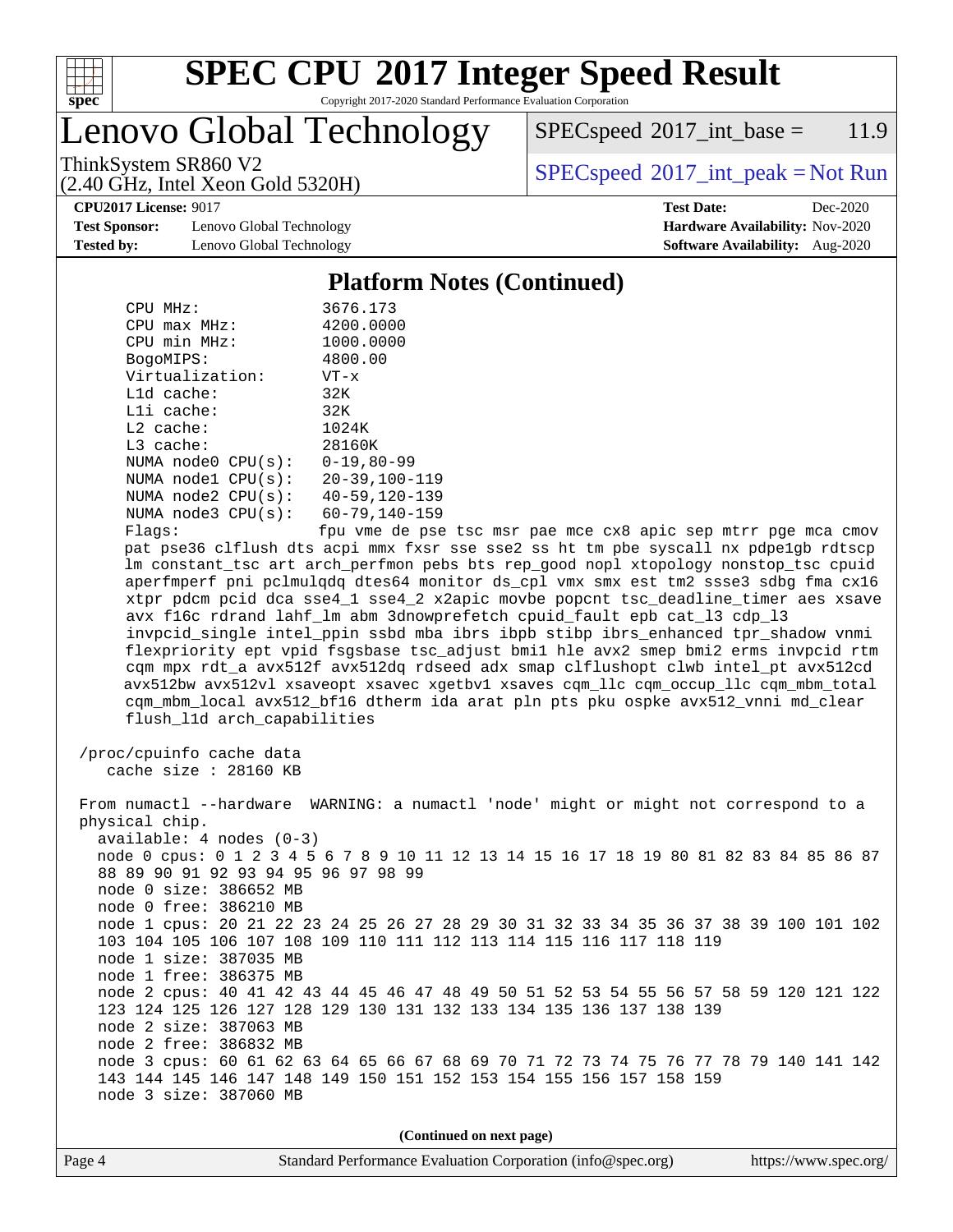

Copyright 2017-2020 Standard Performance Evaluation Corporation

Lenovo Global Technology

 $SPEC speed^{\circ}2017\_int\_base = 11.9$ 

(2.40 GHz, Intel Xeon Gold 5320H)

ThinkSystem SR860 V2  $SPEC speed^{\circ}2017\_int\_peak = Not Run$ 

**[CPU2017 License:](http://www.spec.org/auto/cpu2017/Docs/result-fields.html#CPU2017License)** 9017 **[Test Date:](http://www.spec.org/auto/cpu2017/Docs/result-fields.html#TestDate)** Dec-2020

**[Test Sponsor:](http://www.spec.org/auto/cpu2017/Docs/result-fields.html#TestSponsor)** Lenovo Global Technology **[Hardware Availability:](http://www.spec.org/auto/cpu2017/Docs/result-fields.html#HardwareAvailability)** Nov-2020 **[Tested by:](http://www.spec.org/auto/cpu2017/Docs/result-fields.html#Testedby)** Lenovo Global Technology **[Software Availability:](http://www.spec.org/auto/cpu2017/Docs/result-fields.html#SoftwareAvailability)** Aug-2020

### **[Platform Notes \(Continued\)](http://www.spec.org/auto/cpu2017/Docs/result-fields.html#PlatformNotes)**

| CPU MHz:           | 3676.173             |
|--------------------|----------------------|
| $CPU$ max $MHz$ :  | 4200.0000            |
| CPU min MHz:       | 1000.0000            |
| BogoMIPS:          | 4800.00              |
| Virtualization:    | $VT - x$             |
| $L1d$ cache:       | 32K                  |
| $L1i$ cache:       | 32K                  |
| $L2$ cache:        | 1024K                |
| $L3$ cache:        | 28160K               |
| NUMA node0 CPU(s): | $0 - 19.80 - 99$     |
| NUMA nodel CPU(s): | $20 - 39, 100 - 119$ |
| NUMA node2 CPU(s): | $40 - 59, 120 - 139$ |
| NUMA node3 CPU(s): | $60 - 79, 140 - 159$ |
| $F1$ ane:          | fnu vme de nee       |

Flags: fpu vme de pse tsc msr pae mce cx8 apic sep mtrr pge mca cmov pat pse36 clflush dts acpi mmx fxsr sse sse2 ss ht tm pbe syscall nx pdpe1gb rdtscp lm constant\_tsc art arch\_perfmon pebs bts rep\_good nopl xtopology nonstop\_tsc cpuid aperfmperf pni pclmulqdq dtes64 monitor ds\_cpl vmx smx est tm2 ssse3 sdbg fma cx16 xtpr pdcm pcid dca sse4\_1 sse4\_2 x2apic movbe popcnt tsc\_deadline\_timer aes xsave avx f16c rdrand lahf\_lm abm 3dnowprefetch cpuid\_fault epb cat\_l3 cdp\_l3 invpcid\_single intel\_ppin ssbd mba ibrs ibpb stibp ibrs\_enhanced tpr\_shadow vnmi flexpriority ept vpid fsgsbase tsc\_adjust bmi1 hle avx2 smep bmi2 erms invpcid rtm cqm mpx rdt\_a avx512f avx512dq rdseed adx smap clflushopt clwb intel\_pt avx512cd avx512bw avx512vl xsaveopt xsavec xgetbv1 xsaves cqm\_llc cqm\_occup\_llc cqm\_mbm\_total cqm\_mbm\_local avx512\_bf16 dtherm ida arat pln pts pku ospke avx512\_vnni md\_clear flush\_l1d arch\_capabilities

```
 /proc/cpuinfo cache data
   cache size : 28160 KB
```
 From numactl --hardware WARNING: a numactl 'node' might or might not correspond to a physical chip. available: 4 nodes (0-3) node 0 cpus: 0 1 2 3 4 5 6 7 8 9 10 11 12 13 14 15 16 17 18 19 80 81 82 83 84 85 86 87 88 89 90 91 92 93 94 95 96 97 98 99 node 0 size: 386652 MB node 0 free: 386210 MB node 1 cpus: 20 21 22 23 24 25 26 27 28 29 30 31 32 33 34 35 36 37 38 39 100 101 102 103 104 105 106 107 108 109 110 111 112 113 114 115 116 117 118 119 node 1 size: 387035 MB node 1 free: 386375 MB node 2 cpus: 40 41 42 43 44 45 46 47 48 49 50 51 52 53 54 55 56 57 58 59 120 121 122 123 124 125 126 127 128 129 130 131 132 133 134 135 136 137 138 139 node 2 size: 387063 MB node 2 free: 386832 MB node 3 cpus: 60 61 62 63 64 65 66 67 68 69 70 71 72 73 74 75 76 77 78 79 140 141 142 143 144 145 146 147 148 149 150 151 152 153 154 155 156 157 158 159 node 3 size: 387060 MB

**(Continued on next page)**

| Page 4 | Standard Performance Evaluation Corporation (info@spec.org) | https://www.spec.org/ |
|--------|-------------------------------------------------------------|-----------------------|
|--------|-------------------------------------------------------------|-----------------------|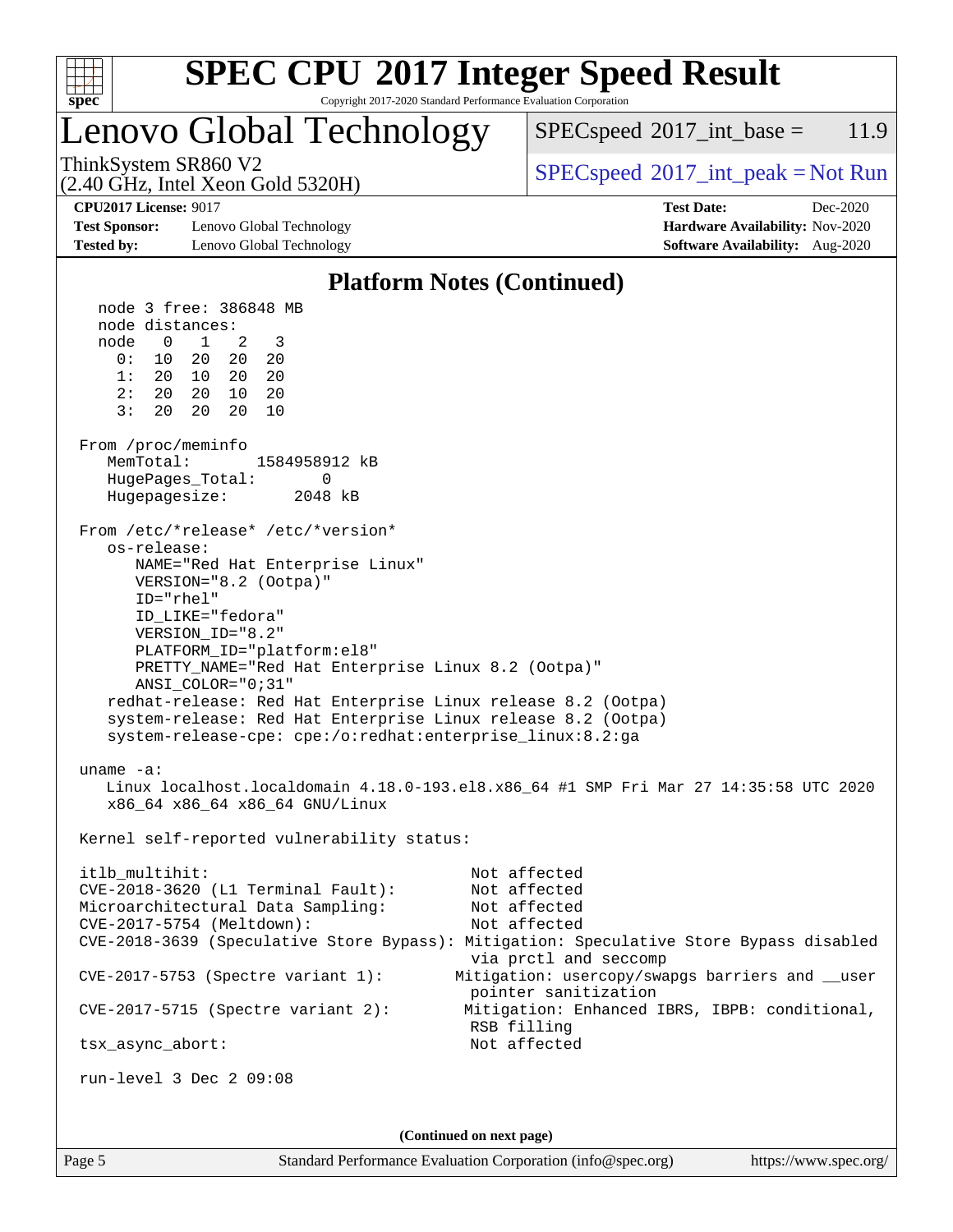

Copyright 2017-2020 Standard Performance Evaluation Corporation

### Lenovo Global Technology

 $SPECspeed^{\circ}2017\_int\_base = 11.9$  $SPECspeed^{\circ}2017\_int\_base = 11.9$ 

(2.40 GHz, Intel Xeon Gold 5320H)

ThinkSystem SR860 V2  $SPEC speed^{\circ}2017\_int\_peak = Not Run$ 

**[Test Sponsor:](http://www.spec.org/auto/cpu2017/Docs/result-fields.html#TestSponsor)** Lenovo Global Technology **[Hardware Availability:](http://www.spec.org/auto/cpu2017/Docs/result-fields.html#HardwareAvailability)** Nov-2020 **[Tested by:](http://www.spec.org/auto/cpu2017/Docs/result-fields.html#Testedby)** Lenovo Global Technology **[Software Availability:](http://www.spec.org/auto/cpu2017/Docs/result-fields.html#SoftwareAvailability)** Aug-2020

**[CPU2017 License:](http://www.spec.org/auto/cpu2017/Docs/result-fields.html#CPU2017License)** 9017 **[Test Date:](http://www.spec.org/auto/cpu2017/Docs/result-fields.html#TestDate)** Dec-2020

### **[Platform Notes \(Continued\)](http://www.spec.org/auto/cpu2017/Docs/result-fields.html#PlatformNotes)**

 node 3 free: 386848 MB node distances: node 0 1 2 3 0: 10 20 20 20 1: 20 10 20 20 2: 20 20 10 20 3: 20 20 20 10 From /proc/meminfo MemTotal: 1584958912 kB HugePages\_Total: 0 Hugepagesize: 2048 kB From /etc/\*release\* /etc/\*version\* os-release: NAME="Red Hat Enterprise Linux" VERSION="8.2 (Ootpa)" ID="rhel" ID\_LIKE="fedora" VERSION\_ID="8.2" PLATFORM\_ID="platform:el8" PRETTY\_NAME="Red Hat Enterprise Linux 8.2 (Ootpa)" ANSI\_COLOR="0;31" redhat-release: Red Hat Enterprise Linux release 8.2 (Ootpa) system-release: Red Hat Enterprise Linux release 8.2 (Ootpa) system-release-cpe: cpe:/o:redhat:enterprise\_linux:8.2:ga uname -a: Linux localhost.localdomain 4.18.0-193.el8.x86\_64 #1 SMP Fri Mar 27 14:35:58 UTC 2020 x86\_64 x86\_64 x86\_64 GNU/Linux Kernel self-reported vulnerability status: itlb\_multihit: Not affected CVE-2018-3620 (L1 Terminal Fault): Not affected Microarchitectural Data Sampling: Not affected CVE-2017-5754 (Meltdown): Not affected CVE-2018-3639 (Speculative Store Bypass): Mitigation: Speculative Store Bypass disabled via prctl and seccomp CVE-2017-5753 (Spectre variant 1): Mitigation: usercopy/swapgs barriers and \_\_user pointer sanitization CVE-2017-5715 (Spectre variant 2): Mitigation: Enhanced IBRS, IBPB: conditional, RSB filling tsx\_async\_abort: Not affected run-level 3 Dec 2 09:08 **(Continued on next page)**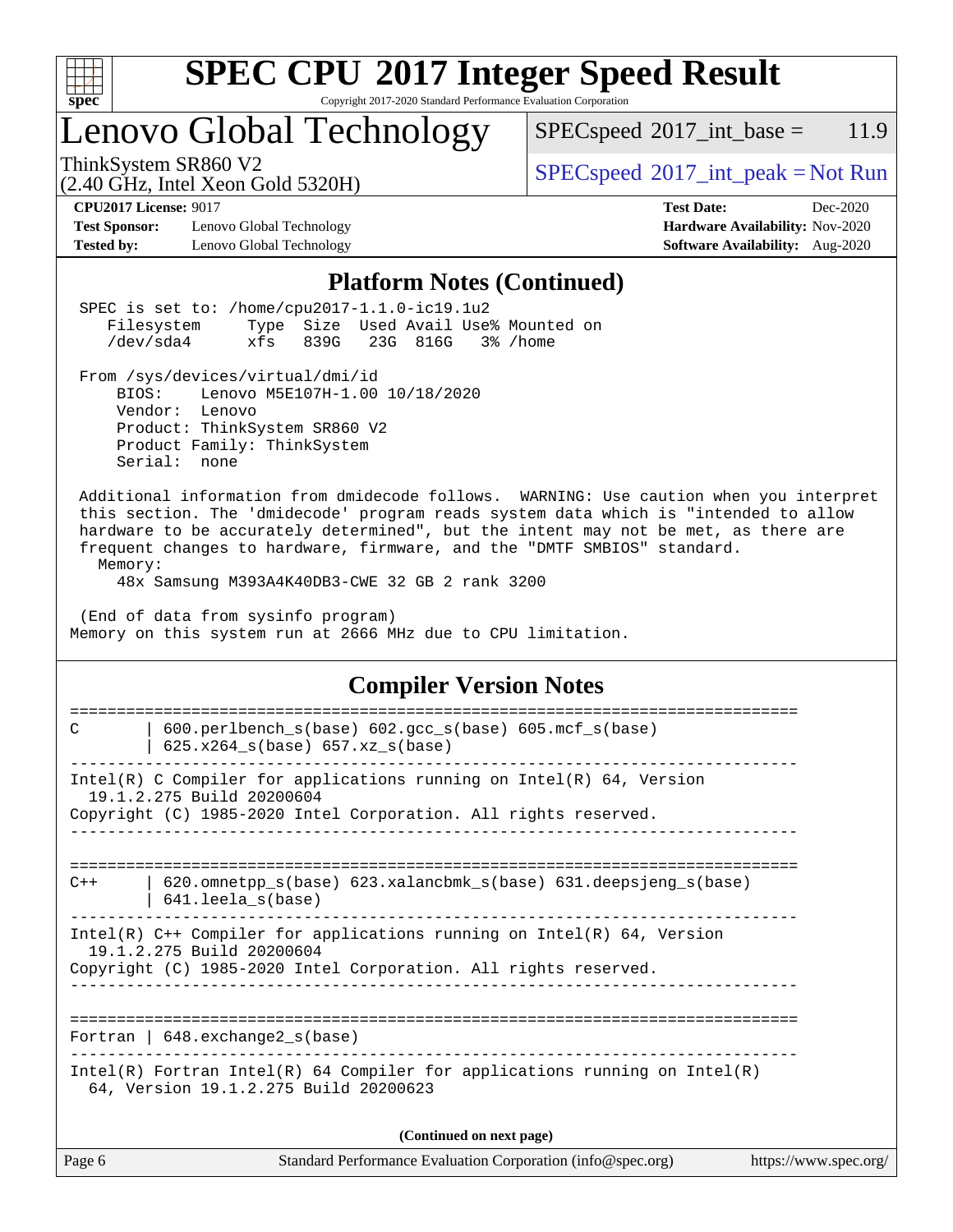

Copyright 2017-2020 Standard Performance Evaluation Corporation

# Lenovo Global Technology

 $SPECspeed^{\circ}2017\_int\_base = 11.9$  $SPECspeed^{\circ}2017\_int\_base = 11.9$ 

(2.40 GHz, Intel Xeon Gold 5320H)

ThinkSystem SR860 V2<br>  $(2.40 \text{ GHz. Intel Yoon Gold } 5320 \text{H})$  [SPECspeed](http://www.spec.org/auto/cpu2017/Docs/result-fields.html#SPECspeed2017intpeak)<sup>®</sup>[2017\\_int\\_peak = N](http://www.spec.org/auto/cpu2017/Docs/result-fields.html#SPECspeed2017intpeak)ot Run

[Test Sponsor:](http://www.spec.org/auto/cpu2017/Docs/result-fields.html#TestSponsor) Lenovo Global Technology **[Hardware Availability:](http://www.spec.org/auto/cpu2017/Docs/result-fields.html#HardwareAvailability)** Nov-2020 **[Tested by:](http://www.spec.org/auto/cpu2017/Docs/result-fields.html#Testedby)** Lenovo Global Technology **[Software Availability:](http://www.spec.org/auto/cpu2017/Docs/result-fields.html#SoftwareAvailability)** Aug-2020

**[CPU2017 License:](http://www.spec.org/auto/cpu2017/Docs/result-fields.html#CPU2017License)** 9017 **[Test Date:](http://www.spec.org/auto/cpu2017/Docs/result-fields.html#TestDate)** Dec-2020

### **[Platform Notes \(Continued\)](http://www.spec.org/auto/cpu2017/Docs/result-fields.html#PlatformNotes)**

| r iación in Fiocco (Continueu)                                                                                                                                                                                                                                                                                                                                                                              |
|-------------------------------------------------------------------------------------------------------------------------------------------------------------------------------------------------------------------------------------------------------------------------------------------------------------------------------------------------------------------------------------------------------------|
| SPEC is set to: /home/cpu2017-1.1.0-ic19.1u2<br>Filesystem<br>Type Size Used Avail Use% Mounted on<br>/dev/sda4<br>xfs<br>839G<br>23G 816G<br>3% /home                                                                                                                                                                                                                                                      |
| From /sys/devices/virtual/dmi/id<br>Lenovo M5E107H-1.00 10/18/2020<br>BIOS:<br>Vendor: Lenovo<br>Product: ThinkSystem SR860 V2<br>Product Family: ThinkSystem<br>Serial: none                                                                                                                                                                                                                               |
| Additional information from dmidecode follows. WARNING: Use caution when you interpret<br>this section. The 'dmidecode' program reads system data which is "intended to allow<br>hardware to be accurately determined", but the intent may not be met, as there are<br>frequent changes to hardware, firmware, and the "DMTF SMBIOS" standard.<br>Memory:<br>48x Samsung M393A4K40DB3-CWE 32 GB 2 rank 3200 |
| (End of data from sysinfo program)<br>Memory on this system run at 2666 MHz due to CPU limitation.                                                                                                                                                                                                                                                                                                          |
| <b>Compiler Version Notes</b>                                                                                                                                                                                                                                                                                                                                                                               |
| ---------------------------<br>------------<br>600.perlbench_s(base) 602.gcc_s(base) 605.mcf_s(base)<br>С<br>$625.x264_s(base) 657.xz_s(base)$                                                                                                                                                                                                                                                              |
| Intel(R) C Compiler for applications running on $Intel(R) 64$ , Version<br>19.1.2.275 Build 20200604<br>Copyright (C) 1985-2020 Intel Corporation. All rights reserved.                                                                                                                                                                                                                                     |
| 620.omnetpp_s(base) 623.xalancbmk_s(base) 631.deepsjeng_s(base)<br>$C++$<br>641.leela_s(base)                                                                                                                                                                                                                                                                                                               |
| Intel(R) $C++$ Compiler for applications running on Intel(R) 64, Version<br>19.1.2.275 Build 20200604<br>Copyright (C) 1985-2020 Intel Corporation. All rights reserved.                                                                                                                                                                                                                                    |
| Fortran   $648$ . exchange2 $s(base)$                                                                                                                                                                                                                                                                                                                                                                       |
| $Intel(R)$ Fortran Intel(R) 64 Compiler for applications running on Intel(R)<br>64, Version 19.1.2.275 Build 20200623                                                                                                                                                                                                                                                                                       |
| (Continued on next page)                                                                                                                                                                                                                                                                                                                                                                                    |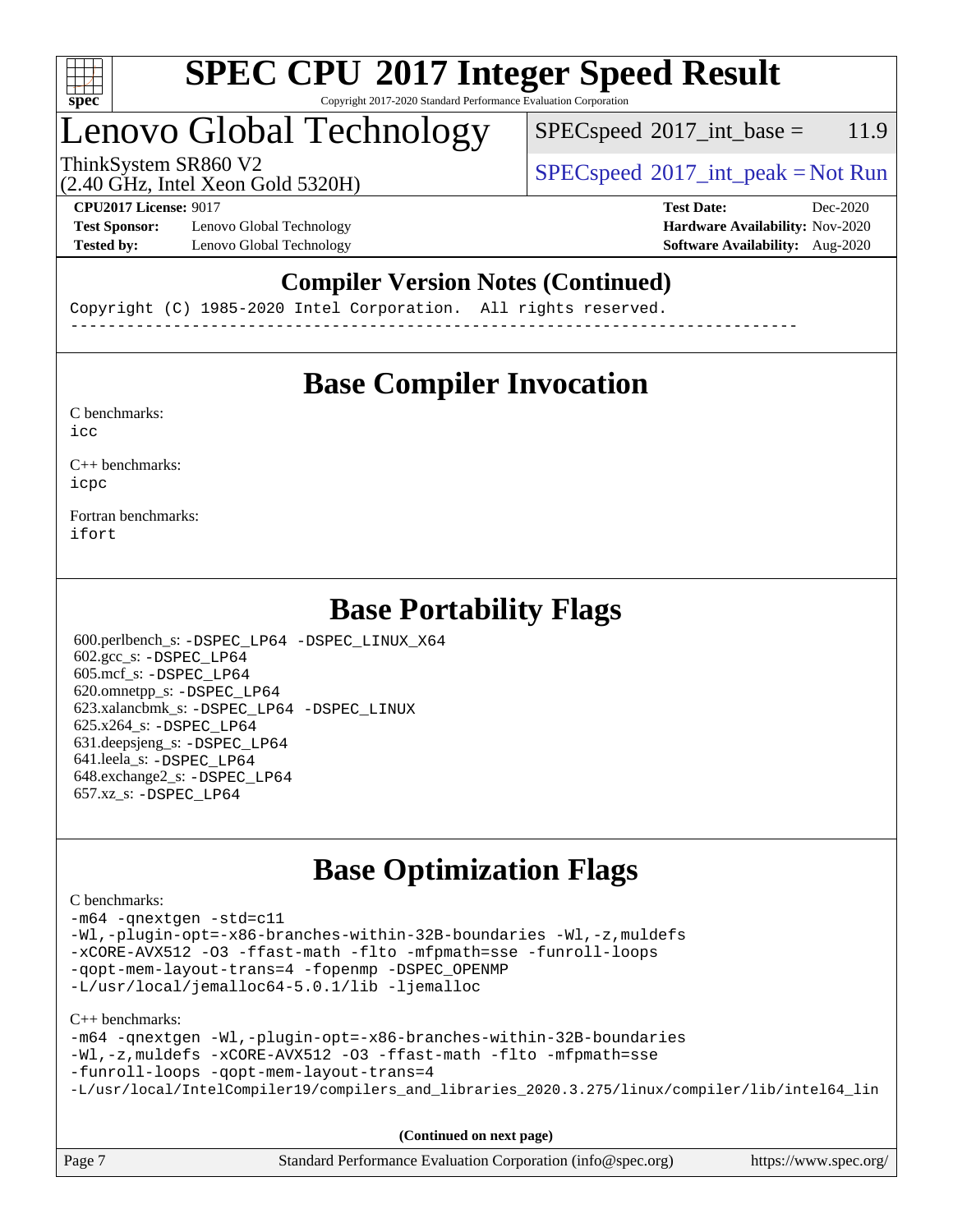

#### **[SPEC CPU](http://www.spec.org/auto/cpu2017/Docs/result-fields.html#SPECCPU2017IntegerSpeedResult)[2017 Integer Speed Result](http://www.spec.org/auto/cpu2017/Docs/result-fields.html#SPECCPU2017IntegerSpeedResult)** Copyright 2017-2020 Standard Performance Evaluation Corporation

# Lenovo Global Technology

 $SPECspeed^{\circ}2017\_int\_base = 11.9$  $SPECspeed^{\circ}2017\_int\_base = 11.9$ 

(2.40 GHz, Intel Xeon Gold 5320H)

ThinkSystem SR860 V2  $SPEC speed^{\circ}2017\_int\_peak = Not Run$ 

**[Test Sponsor:](http://www.spec.org/auto/cpu2017/Docs/result-fields.html#TestSponsor)** Lenovo Global Technology **[Hardware Availability:](http://www.spec.org/auto/cpu2017/Docs/result-fields.html#HardwareAvailability)** Nov-2020 **[Tested by:](http://www.spec.org/auto/cpu2017/Docs/result-fields.html#Testedby)** Lenovo Global Technology **[Software Availability:](http://www.spec.org/auto/cpu2017/Docs/result-fields.html#SoftwareAvailability)** Aug-2020

**[CPU2017 License:](http://www.spec.org/auto/cpu2017/Docs/result-fields.html#CPU2017License)** 9017 **[Test Date:](http://www.spec.org/auto/cpu2017/Docs/result-fields.html#TestDate)** Dec-2020

### **[Compiler Version Notes \(Continued\)](http://www.spec.org/auto/cpu2017/Docs/result-fields.html#CompilerVersionNotes)**

Copyright (C) 1985-2020 Intel Corporation. All rights reserved. ------------------------------------------------------------------------------

### **[Base Compiler Invocation](http://www.spec.org/auto/cpu2017/Docs/result-fields.html#BaseCompilerInvocation)**

[C benchmarks](http://www.spec.org/auto/cpu2017/Docs/result-fields.html#Cbenchmarks):  $i$ cc

[C++ benchmarks:](http://www.spec.org/auto/cpu2017/Docs/result-fields.html#CXXbenchmarks) [icpc](http://www.spec.org/cpu2017/results/res2020q4/cpu2017-20201207-24540.flags.html#user_CXXbase_intel_icpc_c510b6838c7f56d33e37e94d029a35b4a7bccf4766a728ee175e80a419847e808290a9b78be685c44ab727ea267ec2f070ec5dc83b407c0218cded6866a35d07)

[Fortran benchmarks](http://www.spec.org/auto/cpu2017/Docs/result-fields.html#Fortranbenchmarks): [ifort](http://www.spec.org/cpu2017/results/res2020q4/cpu2017-20201207-24540.flags.html#user_FCbase_intel_ifort_8111460550e3ca792625aed983ce982f94888b8b503583aa7ba2b8303487b4d8a21a13e7191a45c5fd58ff318f48f9492884d4413fa793fd88dd292cad7027ca)

### **[Base Portability Flags](http://www.spec.org/auto/cpu2017/Docs/result-fields.html#BasePortabilityFlags)**

 600.perlbench\_s: [-DSPEC\\_LP64](http://www.spec.org/cpu2017/results/res2020q4/cpu2017-20201207-24540.flags.html#b600.perlbench_s_basePORTABILITY_DSPEC_LP64) [-DSPEC\\_LINUX\\_X64](http://www.spec.org/cpu2017/results/res2020q4/cpu2017-20201207-24540.flags.html#b600.perlbench_s_baseCPORTABILITY_DSPEC_LINUX_X64) 602.gcc\_s: [-DSPEC\\_LP64](http://www.spec.org/cpu2017/results/res2020q4/cpu2017-20201207-24540.flags.html#suite_basePORTABILITY602_gcc_s_DSPEC_LP64) 605.mcf\_s: [-DSPEC\\_LP64](http://www.spec.org/cpu2017/results/res2020q4/cpu2017-20201207-24540.flags.html#suite_basePORTABILITY605_mcf_s_DSPEC_LP64) 620.omnetpp\_s: [-DSPEC\\_LP64](http://www.spec.org/cpu2017/results/res2020q4/cpu2017-20201207-24540.flags.html#suite_basePORTABILITY620_omnetpp_s_DSPEC_LP64) 623.xalancbmk\_s: [-DSPEC\\_LP64](http://www.spec.org/cpu2017/results/res2020q4/cpu2017-20201207-24540.flags.html#suite_basePORTABILITY623_xalancbmk_s_DSPEC_LP64) [-DSPEC\\_LINUX](http://www.spec.org/cpu2017/results/res2020q4/cpu2017-20201207-24540.flags.html#b623.xalancbmk_s_baseCXXPORTABILITY_DSPEC_LINUX) 625.x264\_s: [-DSPEC\\_LP64](http://www.spec.org/cpu2017/results/res2020q4/cpu2017-20201207-24540.flags.html#suite_basePORTABILITY625_x264_s_DSPEC_LP64) 631.deepsjeng\_s: [-DSPEC\\_LP64](http://www.spec.org/cpu2017/results/res2020q4/cpu2017-20201207-24540.flags.html#suite_basePORTABILITY631_deepsjeng_s_DSPEC_LP64) 641.leela\_s: [-DSPEC\\_LP64](http://www.spec.org/cpu2017/results/res2020q4/cpu2017-20201207-24540.flags.html#suite_basePORTABILITY641_leela_s_DSPEC_LP64) 648.exchange2\_s: [-DSPEC\\_LP64](http://www.spec.org/cpu2017/results/res2020q4/cpu2017-20201207-24540.flags.html#suite_basePORTABILITY648_exchange2_s_DSPEC_LP64) 657.xz\_s: [-DSPEC\\_LP64](http://www.spec.org/cpu2017/results/res2020q4/cpu2017-20201207-24540.flags.html#suite_basePORTABILITY657_xz_s_DSPEC_LP64)

### **[Base Optimization Flags](http://www.spec.org/auto/cpu2017/Docs/result-fields.html#BaseOptimizationFlags)**

#### [C benchmarks](http://www.spec.org/auto/cpu2017/Docs/result-fields.html#Cbenchmarks):

[-m64](http://www.spec.org/cpu2017/results/res2020q4/cpu2017-20201207-24540.flags.html#user_CCbase_m64-icc) [-qnextgen](http://www.spec.org/cpu2017/results/res2020q4/cpu2017-20201207-24540.flags.html#user_CCbase_f-qnextgen) [-std=c11](http://www.spec.org/cpu2017/results/res2020q4/cpu2017-20201207-24540.flags.html#user_CCbase_std-icc-std_0e1c27790398a4642dfca32ffe6c27b5796f9c2d2676156f2e42c9c44eaad0c049b1cdb667a270c34d979996257aeb8fc440bfb01818dbc9357bd9d174cb8524) [-Wl,-plugin-opt=-x86-branches-within-32B-boundaries](http://www.spec.org/cpu2017/results/res2020q4/cpu2017-20201207-24540.flags.html#user_CCbase_f-x86-branches-within-32B-boundaries_0098b4e4317ae60947b7b728078a624952a08ac37a3c797dfb4ffeb399e0c61a9dd0f2f44ce917e9361fb9076ccb15e7824594512dd315205382d84209e912f3) [-Wl,-z,muldefs](http://www.spec.org/cpu2017/results/res2020q4/cpu2017-20201207-24540.flags.html#user_CCbase_link_force_multiple1_b4cbdb97b34bdee9ceefcfe54f4c8ea74255f0b02a4b23e853cdb0e18eb4525ac79b5a88067c842dd0ee6996c24547a27a4b99331201badda8798ef8a743f577) [-xCORE-AVX512](http://www.spec.org/cpu2017/results/res2020q4/cpu2017-20201207-24540.flags.html#user_CCbase_f-xCORE-AVX512) [-O3](http://www.spec.org/cpu2017/results/res2020q4/cpu2017-20201207-24540.flags.html#user_CCbase_f-O3) [-ffast-math](http://www.spec.org/cpu2017/results/res2020q4/cpu2017-20201207-24540.flags.html#user_CCbase_f-ffast-math) [-flto](http://www.spec.org/cpu2017/results/res2020q4/cpu2017-20201207-24540.flags.html#user_CCbase_f-flto) [-mfpmath=sse](http://www.spec.org/cpu2017/results/res2020q4/cpu2017-20201207-24540.flags.html#user_CCbase_f-mfpmath_70eb8fac26bde974f8ab713bc9086c5621c0b8d2f6c86f38af0bd7062540daf19db5f3a066d8c6684be05d84c9b6322eb3b5be6619d967835195b93d6c02afa1) [-funroll-loops](http://www.spec.org/cpu2017/results/res2020q4/cpu2017-20201207-24540.flags.html#user_CCbase_f-funroll-loops) [-qopt-mem-layout-trans=4](http://www.spec.org/cpu2017/results/res2020q4/cpu2017-20201207-24540.flags.html#user_CCbase_f-qopt-mem-layout-trans_fa39e755916c150a61361b7846f310bcdf6f04e385ef281cadf3647acec3f0ae266d1a1d22d972a7087a248fd4e6ca390a3634700869573d231a252c784941a8) [-fopenmp](http://www.spec.org/cpu2017/results/res2020q4/cpu2017-20201207-24540.flags.html#user_CCbase_fopenmp_5aa2e47ce4f2ef030ba5d12d5a7a9c4e57167333d78243fcadb80b48d5abb78ff19333f8478e0b2a41e63049eb285965c145ccab7b93db7d0c4d59e4dc6f5591) [-DSPEC\\_OPENMP](http://www.spec.org/cpu2017/results/res2020q4/cpu2017-20201207-24540.flags.html#suite_CCbase_DSPEC_OPENMP) [-L/usr/local/jemalloc64-5.0.1/lib](http://www.spec.org/cpu2017/results/res2020q4/cpu2017-20201207-24540.flags.html#user_CCbase_jemalloc_link_path64_1_cc289568b1a6c0fd3b62c91b824c27fcb5af5e8098e6ad028160d21144ef1b8aef3170d2acf0bee98a8da324cfe4f67d0a3d0c4cc4673d993d694dc2a0df248b) [-ljemalloc](http://www.spec.org/cpu2017/results/res2020q4/cpu2017-20201207-24540.flags.html#user_CCbase_jemalloc_link_lib_d1249b907c500fa1c0672f44f562e3d0f79738ae9e3c4a9c376d49f265a04b9c99b167ecedbf6711b3085be911c67ff61f150a17b3472be731631ba4d0471706)

[C++ benchmarks:](http://www.spec.org/auto/cpu2017/Docs/result-fields.html#CXXbenchmarks)

```
-m64 -qnextgen -Wl,-plugin-opt=-x86-branches-within-32B-boundaries
-Wl,-z,muldefs -xCORE-AVX512 -O3 -ffast-math -flto -mfpmath=sse
-funroll-loops -qopt-mem-layout-trans=4
-L/usr/local/IntelCompiler19/compilers_and_libraries_2020.3.275/linux/compiler/lib/intel64_lin
```
**(Continued on next page)**

| Page 7<br>Standard Performance Evaluation Corporation (info@spec.org)<br>https://www.spec.org/ |
|------------------------------------------------------------------------------------------------|
|------------------------------------------------------------------------------------------------|